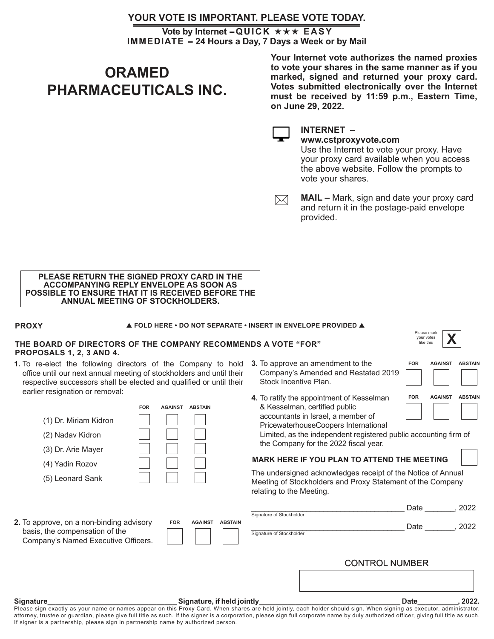# **YOUR VOTE IS IMPORTANT. PLEASE VOTE TODAY.**

**IMMEDIATE - 24 Hours a Day, 7 Days a Week or by Mail Vote by Internet - QUICK ★★★ EASY** 

# **ORAMED PHARMACEUTICALS INC.**

**Your Internet vote authorizes the named proxies to vote your shares in the same manner as if you marked, signed and returned your proxy card. Votes submitted electronically over the Internet must be received by 11:59 p.m., Eastern Time, on June 29, 2022.**

#### **INTERNET – www.cstproxyvote.com**

Use the Internet to vote your proxy. Have your proxy card available when you access the above website. Follow the prompts to vote your shares.

**MAIL –** Mark, sign and date your proxy card  $\times$ and return it in the postage-paid envelope provided.

#### **PLEASE RETURN THE SIGNED PROXY CARD IN THE ACCOMPANYING REPLY ENVELOPE AS SOON AS POSSIBLE TO ENSURE THAT IT IS RECEIVED BEFORE THE ANNUAL MEETING OF STOCKHOLDERS.**

### **PROXY**

**FOLD HERE • DO NOT SEPARATE • INSERT IN ENVELOPE PROVIDED** 

### **THE BOARD OF DIRECTORS OF THE COMPANY RECOMMENDS A VOTE "FOR" PROPOSALS 1, 2, 3 AND 4.**

**1.** To re-elect the following directors of the Company to hold office until our next annual meeting of stockholders and until their respective successors shall be elected and qualified or until their earlier resignation or removal:

|                                                                                                                         | <b>FOR</b> | <b>AGAINST</b> | <b>ABSTAIN</b> |                  |
|-------------------------------------------------------------------------------------------------------------------------|------------|----------------|----------------|------------------|
| (1) Dr. Miriam Kidron                                                                                                   |            |                |                |                  |
| (2) Nadav Kidron                                                                                                        |            |                |                |                  |
| (3) Dr. Arie Mayer                                                                                                      |            |                |                |                  |
| (4) Yadin Rozov                                                                                                         |            |                |                |                  |
| (5) Leonard Sank                                                                                                        |            |                |                |                  |
|                                                                                                                         |            |                |                |                  |
|                                                                                                                         |            |                |                |                  |
| <b>2.</b> To approve, on a non-binding advisory<br>basis, the compensation of the<br>Company's Named Executive Officers |            | <b>FOR</b>     | <b>AGAINST</b> | ABS <sup>®</sup> |

- **3.** To approve an amendment to the Company's Amended and Restated 2019 Stock Incentive Plan.
- **4.** To ratify the appointment of Kesselman & Kesselman, certified public accountants in Israel, a member of PricewaterhouseCoopers International

Limited, as the independent registered public accounting firm of the Company for the 2022 fiscal year.

## **MARK HERE IF YOU PLAN TO ATTEND THE MEETING**

The undersigned acknowledges receipt of the Notice of Annual Meeting of Stockholders and Proxy Statement of the Company relating to the Meeting.

|                                                                                                                   |            |                |                | Signature of Stockholder | Date                  | 2022 |
|-------------------------------------------------------------------------------------------------------------------|------------|----------------|----------------|--------------------------|-----------------------|------|
| 2. To approve, on a non-binding advisory<br>basis, the compensation of the<br>Company's Named Executive Officers. | <b>FOR</b> | <b>AGAINST</b> | <b>ABSTAIN</b> | Signature of Stockholder | Date                  | 2022 |
|                                                                                                                   |            |                |                |                          | <b>CONTROL NUMBER</b> |      |

#### **Signature\_\_\_\_\_\_\_\_\_\_\_\_\_\_\_\_\_\_\_\_\_\_\_\_\_\_\_\_\_\_\_\_ Signature, if held jointly\_\_\_\_\_\_\_\_\_\_\_\_\_\_\_\_\_\_\_\_\_\_\_\_\_\_\_\_\_\_\_\_\_\_\_ Date\_\_\_\_\_\_\_\_\_\_, 2022.**

Please sign exactly as your name or names appear on this Proxy Card. When shares are held jointly, each holder should sign. When signing as executor, administrator, attorney, trustee or guardian, please give full title as such. If the signer is a corporation, please sign full corporate name by duly authorized officer, giving full title as such. If signer is a partnership, please sign in partnership name by authorized person.



| <b>FOR</b> | <b>AGAINST ABSTAIN</b> |  |
|------------|------------------------|--|
|            |                        |  |
|            |                        |  |
| <b>FOR</b> | <b>AGAINST ABSTAIN</b> |  |
|            |                        |  |
|            |                        |  |